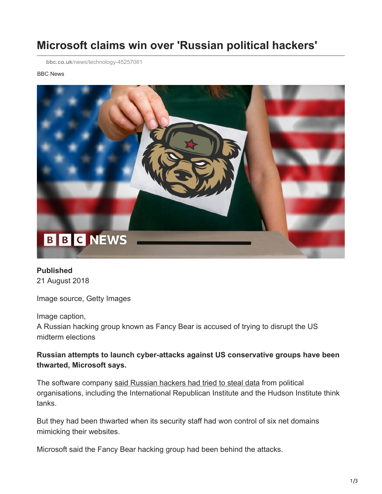# **Microsoft claims win over 'Russian political hackers'**

**bbc.co.uk**[/news/technology-45257081](https://www.bbc.co.uk/news/technology-45257081)

#### BBC News



**Published** 21 August 2018

Image source, Getty Images

Image caption,

A Russian hacking group known as Fancy Bear is accused of trying to disrupt the US midterm elections

### **Russian attempts to launch cyber-attacks against US conservative groups have been thwarted, Microsoft says.**

The software company [said Russian hackers had tried to steal data](https://blogs.microsoft.com/on-the-issues/2018/08/20/we-are-taking-new-steps-against-broadening-threats-to-democracy/) from political organisations, including the International Republican Institute and the Hudson Institute think tanks.

But they had been thwarted when its security staff had won control of six net domains mimicking their websites.

Microsoft said the Fancy Bear hacking group had been behind the attacks.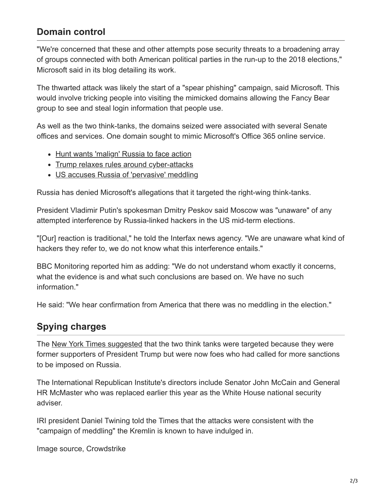## **Domain control**

"We're concerned that these and other attempts pose security threats to a broadening array of groups connected with both American political parties in the run-up to the 2018 elections," Microsoft said in its blog detailing its work.

The thwarted attack was likely the start of a "spear phishing" campaign, said Microsoft. This would involve tricking people into visiting the mimicked domains allowing the Fancy Bear group to see and steal login information that people use.

As well as the two think-tanks, the domains seized were associated with several Senate offices and services. One domain sought to mimic Microsoft's Office 365 online service.

- [Hunt wants 'malign' Russia to face action](https://www.bbc.co.uk/news/uk-politics-45250069)
- [Trump relaxes rules around cyber-attacks](https://www.bbc.co.uk/news/technology-45208776)
- [US accuses Russia of 'pervasive' meddling](https://www.bbc.co.uk/news/world-us-canada-45047138)

Russia has denied Microsoft's allegations that it targeted the right-wing think-tanks.

President Vladimir Putin's spokesman Dmitry Peskov said Moscow was "unaware" of any attempted interference by Russia-linked hackers in the US mid-term elections.

"[Our] reaction is traditional," he told the Interfax news agency. "We are unaware what kind of hackers they refer to, we do not know what this interference entails."

BBC Monitoring reported him as adding: "We do not understand whom exactly it concerns, what the evidence is and what such conclusions are based on. We have no such information."

He said: "We hear confirmation from America that there was no meddling in the election."

## **Spying charges**

The [New York Times suggested](https://www.nytimes.com/2018/08/21/us/politics/russia-cyber-hack.html) that the two think tanks were targeted because they were former supporters of President Trump but were now foes who had called for more sanctions to be imposed on Russia.

The International Republican Institute's directors include Senator John McCain and General HR McMaster who was replaced earlier this year as the White House national security adviser.

IRI president Daniel Twining told the Times that the attacks were consistent with the "campaign of meddling" the Kremlin is known to have indulged in.

Image source, Crowdstrike